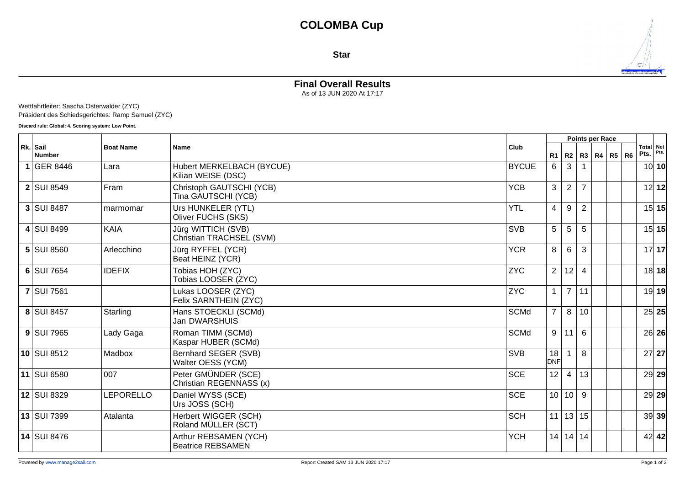## **Star**



## **Final Overall Results**

As of 13 JUN 2020 At 17:17

Wettfahrtleiter: Sascha Osterwalder (ZYC) Präsident des Schiedsgerichtes: Ramp Samuel (ZYC)

**Discard rule: Global: 4. Scoring system: Low Point.**

| Rk. Sail<br><b>Number</b> | <b>Boat Name</b> | <b>Name</b>                                       | Club         |                  |                      | Points per Race |              |  |                |                   |         |
|---------------------------|------------------|---------------------------------------------------|--------------|------------------|----------------------|-----------------|--------------|--|----------------|-------------------|---------|
|                           |                  |                                                   |              | R <sub>1</sub>   | R2                   |                 | R3   R4   R5 |  | R <sub>6</sub> | Total Net<br>Pts. | Pts.    |
| $1$ GER 8446              | Lara             | Hubert MERKELBACH (BYCUE)<br>Kilian WEISE (DSC)   | <b>BYCUE</b> | 6                | 3                    |                 |              |  |                |                   | 10 10   |
| <b>2 SUI 8549</b>         | Fram             | Christoph GAUTSCHI (YCB)<br>Tina GAUTSCHI (YCB)   | <b>YCB</b>   | 3                | $\overline{2}$       | $\overline{7}$  |              |  |                |                   | 12 12   |
| <b>3 SUI 8487</b>         | marmomar         | Urs HUNKELER (YTL)<br>Oliver FUCHS (SKS)          | <b>YTL</b>   | $\overline{4}$   | 9                    | $\overline{2}$  |              |  |                |                   | 15 15   |
| 4 SUI 8499                | <b>KAIA</b>      | Jürg WITTICH (SVB)<br>Christian TRACHSEL (SVM)    | <b>SVB</b>   | 5                | 5                    | 5               |              |  |                |                   | 15 15   |
| 5 SUI 8560                | Arlecchino       | Jürg RYFFEL (YCR)<br>Beat HEINZ (YCR)             | <b>YCR</b>   | 8                | 6                    | 3               |              |  |                |                   | 17 17   |
| 6 SUI 7654                | <b>IDEFIX</b>    | Tobias HOH (ZYC)<br>Tobias LOOSER (ZYC)           | <b>ZYC</b>   | $\overline{2}$   | 12                   | $\overline{4}$  |              |  |                |                   | $18$ 18 |
| <b>7 SUI 7561</b>         |                  | Lukas LOOSER (ZYC)<br>Felix SARNTHEIN (ZYC)       | <b>ZYC</b>   | $\mathbf{1}$     | $\overline{7}$       | 11              |              |  |                |                   | 19 19   |
| 8 SUI 8457                | Starling         | Hans STOECKLI (SCMd)<br>Jan DWARSHUIS             | <b>SCMd</b>  | $\overline{7}$   | 8                    | 10              |              |  |                |                   | 25 25   |
| $9$ SUI 7965              | Lady Gaga        | Roman TIMM (SCMd)<br>Kaspar HUBER (SCMd)          | <b>SCMd</b>  | 9                | 11                   | 6               |              |  |                |                   | $26$ 26 |
| 10 SUI 8512               | Madbox           | Bernhard SEGER (SVB)<br>Walter OESS (YCM)         | <b>SVB</b>   | 18<br><b>DNF</b> |                      | 8               |              |  |                |                   | 27 27   |
| 11 SUI 6580               | 007              | Peter GMÜNDER (SCE)<br>Christian REGENNASS (x)    | <b>SCE</b>   | 12 <sup>°</sup>  | 4                    | 13              |              |  |                |                   | $29$ 29 |
| 12 SUI 8329               | <b>LEPORELLO</b> | Daniel WYSS (SCE)<br>Urs JOSS (SCH)               | <b>SCE</b>   |                  | 10 10                | 9               |              |  |                |                   | $29$ 29 |
| <b>13 SUI 7399</b>        | Atalanta         | Herbert WIGGER (SCH)<br>Roland MÜLLER (SCT)       | <b>SCH</b>   |                  | $11 \mid 13 \mid 15$ |                 |              |  |                |                   | 39 39   |
| 14 SUI 8476               |                  | Arthur REBSAMEN (YCH)<br><b>Beatrice REBSAMEN</b> | <b>YCH</b>   | 14               | 14 14                |                 |              |  |                |                   | 42 42   |